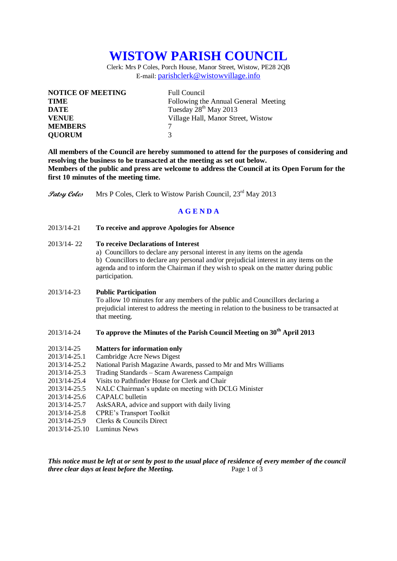# **WISTOW PARISH COUNCIL**

Clerk: Mrs P Coles, Porch House, Manor Street, Wistow, PE28 2QB E-mail: [parishclerk@wistowvillage.info](mailto:parishclerk@wistowvillage.info)

| <b>NOTICE OF MEETING</b> | <b>Full Council</b>                  |
|--------------------------|--------------------------------------|
| <b>TIME</b>              | Following the Annual General Meeting |
| <b>DATE</b>              | Tuesday $28^{th}$ May 2013           |
| <b>VENUE</b>             | Village Hall, Manor Street, Wistow   |
| <b>MEMBERS</b>           |                                      |
| <b>QUORUM</b>            | 3                                    |

**All members of the Council are hereby summoned to attend for the purposes of considering and resolving the business to be transacted at the meeting as set out below. Members of the public and press are welcome to address the Council at its Open Forum for the first 10 minutes of the meeting time.**

**Patsy Coles** Mrs P Coles, Clerk to Wistow Parish Council, 23<sup>rd</sup> May 2013

# **A G E N D A**

2013/14-21 **To receive and approve Apologies for Absence**

### 2013/14- 22 **To receive Declarations of Interest**

a) Councillors to declare any personal interest in any items on the agenda b) Councillors to declare any personal and/or prejudicial interest in any items on the agenda and to inform the Chairman if they wish to speak on the matter during public participation.

#### 2013/14-23 **Public Participation**

To allow 10 minutes for any members of the public and Councillors declaring a prejudicial interest to address the meeting in relation to the business to be transacted at that meeting.

# 2013/14-24 **To approve the Minutes of the Parish Council Meeting on 30th April 2013**

#### 2013/14-25 **Matters for information only**

- 2013/14-25.1 Cambridge Acre News Digest
- 2013/14-25.2 National Parish Magazine Awards, passed to Mr and Mrs Williams
- 2013/14-25.3 Trading Standards Scam Awareness Campaign
- 2013/14-25.4 Visits to Pathfinder House for Clerk and Chair
- 2013/14-25.5 NALC Chairman's update on meeting with DCLG Minister
- 2013/14-25.6 CAPALC bulletin
- 2013/14-25.7 AskSARA, advice and support with daily living
- 2013/14-25.8 CPRE's Transport Toolkit
- 2013/14-25.9 Clerks & Councils Direct
- 2013/14-25.10 Luminus News

*This notice must be left at or sent by post to the usual place of residence of every member of the council three clear days at least before the Meeting.* Page 1 of 3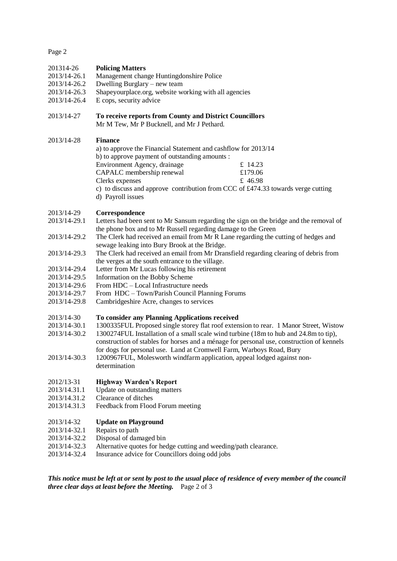Page 2

#### 201314-26 **Policing Matters**

- 2013/14-26.1 Management change Huntingdonshire Police
- 2013/14-26.2 Dwelling Burglary new team
- 2013/14-26.3 Shapeyourplace.org, website working with all agencies<br>2013/14-26.4 E cons. security advice
- E cops, security advice

### 2013/14-27 **To receive reports from County and District Councillors** Mr M Tew, Mr P Bucknell, and Mr J Pethard.

### 2013/14-28 **Finance**

| a) to approve the Financial Statement and cashflow for 2013/14 |                                                                                                 |
|----------------------------------------------------------------|-------------------------------------------------------------------------------------------------|
| b) to approve payment of outstanding amounts :                 |                                                                                                 |
| Environment Agency, drainage                                   | £ 14.23                                                                                         |
| CAPALC membership renewal                                      | £179.06                                                                                         |
| Clerks expenses                                                | £ 46.98                                                                                         |
|                                                                | c) to discuss and approve contribution from CCC of $\text{\pounds}474.33$ towards verge cutting |

d) Payroll issues

#### 2013/14-29 **Correspondence**

- 2013/14-29.1 Letters had been sent to Mr Sansum regarding the sign on the bridge and the removal of the phone box and to Mr Russell regarding damage to the Green
- 2013/14-29.2 The Clerk had received an email from Mr R Lane regarding the cutting of hedges and sewage leaking into Bury Brook at the Bridge.
- 2013/14-29.3 The Clerk had received an email from Mr Dransfield regarding clearing of debris from the verges at the south entrance to the village.
- 2013/14-29.4 Letter from Mr Lucas following his retirement
- 2013/14-29.5 Information on the Bobby Scheme
- 2013/14-29.6 From HDC Local Infrastructure needs
- 2013/14-29.7 From HDC Town/Parish Council Planning Forums
- 2013/14-29.8 Cambridgeshire Acre, changes to services

#### 2013/14-30 **To consider any Planning Applications received**

- 2013/14-30.1 1300335FUL Proposed single storey flat roof extension to rear. 1 Manor Street, Wistow
- 2013/14-30.2 1300274FUL Installation of a small scale wind turbine (18m to hub and 24.8m to tip),
- construction of stables for horses and a ménage for personal use, construction of kennels for dogs for personal use. Land at Cromwell Farm, Warboys Road, Bury
- 2013/14-30.3 1200967FUL, Molesworth windfarm application, appeal lodged against nondetermination

# 2012/13-31 **Highway Warden's Report**

- 2013/14.31.1 Update on outstanding matters
- 2013/14.31.2 Clearance of ditches
- 2013/14.31.3 Feedback from Flood Forum meeting

#### 2013/14-32 **Update on Playground**

- 2013/14-32.1 Repairs to path
- 2013/14-32.2 Disposal of damaged bin
- 2013/14-32.3 Alternative quotes for hedge cutting and weeding/path clearance.
- 2013/14-32.4 Insurance advice for Councillors doing odd jobs

*This notice must be left at or sent by post to the usual place of residence of every member of the council three clear days at least before the Meeting.* Page 2 of 3